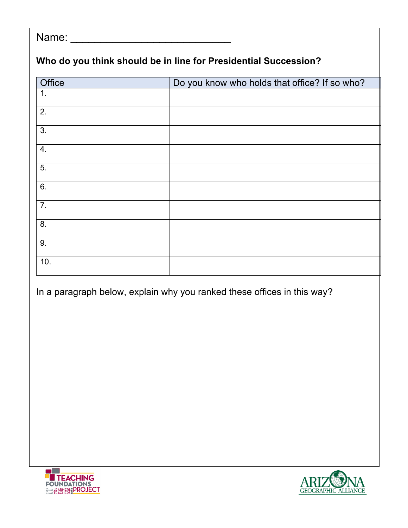| Name:                                                           |                                               |  |  |
|-----------------------------------------------------------------|-----------------------------------------------|--|--|
| Who do you think should be in line for Presidential Succession? |                                               |  |  |
| <b>Office</b>                                                   | Do you know who holds that office? If so who? |  |  |
| 1.                                                              |                                               |  |  |
| $\overline{2}$ .                                                |                                               |  |  |
| $\overline{3}$ .                                                |                                               |  |  |
| 4.                                                              |                                               |  |  |
| 5.                                                              |                                               |  |  |
| 6.                                                              |                                               |  |  |
| $\overline{7}$ .                                                |                                               |  |  |
| 8.                                                              |                                               |  |  |
| 9.                                                              |                                               |  |  |
| 10.                                                             |                                               |  |  |

In a paragraph below, explain why you ranked these offices in this way?





٦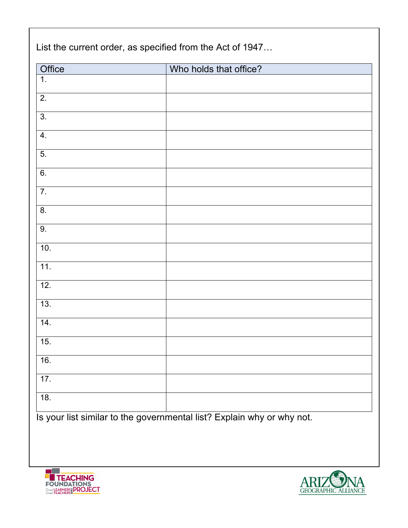| Office | Who holds that office? |  |
|--------|------------------------|--|
| 1.     |                        |  |
| 2.     |                        |  |
| 3.     |                        |  |
| 4.     |                        |  |
| 5.     |                        |  |
| 6.     |                        |  |
| 7.     |                        |  |
| 8.     |                        |  |
| 9.     |                        |  |
| 10.    |                        |  |
| 11.    |                        |  |
| 12.    |                        |  |
| 13.    |                        |  |
| 14.    |                        |  |
| 15.    |                        |  |
| 16.    |                        |  |
| 17.    |                        |  |
| 18.    |                        |  |



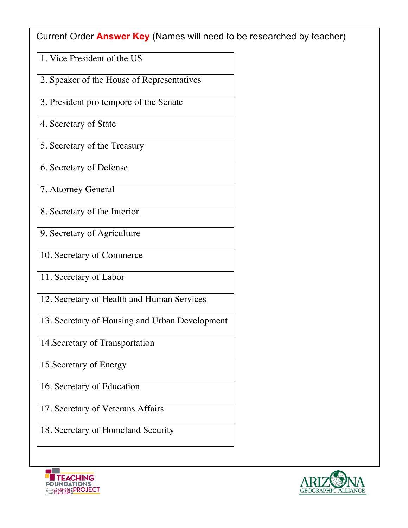Current Order **Answer Key** (Names will need to be researched by teacher)

- 1. Vice President of the US
- 2. Speaker of the House of Representatives
- 3. President pro tempore of the Senate
- 4. Secretary of State
- 5. Secretary of the Treasury
- 6. Secretary of Defense
- 7. Attorney General
- 8. Secretary of the Interior
- 9. Secretary of Agriculture
- 10. Secretary of Commerce
- 11. Secretary of Labor
- 12. Secretary of Health and Human Services
- 13. Secretary of Housing and Urban Development
- 14.Secretary of Transportation
- 15.Secretary of Energy
- 16. Secretary of Education
- 17. Secretary of Veterans Affairs
- 18. Secretary of Homeland Security



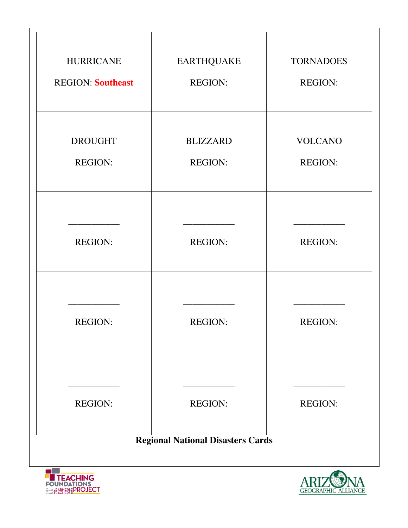| <b>HURRICANE</b>                         | <b>EARTHQUAKE</b> | <b>TORNADOES</b> |
|------------------------------------------|-------------------|------------------|
| <b>REGION: Southeast</b>                 | <b>REGION:</b>    | <b>REGION:</b>   |
|                                          |                   |                  |
|                                          |                   |                  |
| <b>DROUGHT</b>                           | <b>BLIZZARD</b>   | <b>VOLCANO</b>   |
| <b>REGION:</b>                           | <b>REGION:</b>    | <b>REGION:</b>   |
|                                          |                   |                  |
|                                          |                   |                  |
|                                          |                   |                  |
| <b>REGION:</b>                           | <b>REGION:</b>    | <b>REGION:</b>   |
|                                          |                   |                  |
|                                          |                   |                  |
| <b>REGION:</b>                           | <b>REGION:</b>    | <b>REGION:</b>   |
|                                          |                   |                  |
|                                          |                   |                  |
|                                          |                   |                  |
| <b>REGION:</b>                           | <b>REGION:</b>    | <b>REGION:</b>   |
|                                          |                   |                  |
| <b>Regional National Disasters Cards</b> |                   |                  |
|                                          |                   | $\sqrt{2}$       |





 $\overline{\phantom{a}}$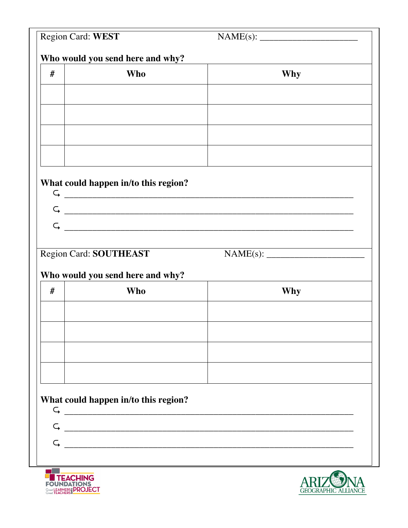| Region Card: WEST |                                                                                                                                                                                   |              |  |
|-------------------|-----------------------------------------------------------------------------------------------------------------------------------------------------------------------------------|--------------|--|
|                   | Who would you send here and why?                                                                                                                                                  |              |  |
| #                 | <b>Who</b>                                                                                                                                                                        | <b>Why</b>   |  |
|                   |                                                                                                                                                                                   |              |  |
|                   |                                                                                                                                                                                   |              |  |
|                   |                                                                                                                                                                                   |              |  |
|                   |                                                                                                                                                                                   |              |  |
|                   |                                                                                                                                                                                   |              |  |
|                   | What could happen in/to this region?                                                                                                                                              |              |  |
|                   | $\begin{tabular}{ c c c c } \hline \quad \quad & \quad \quad & \quad \quad & \quad \quad \\ \hline \quad \quad & \quad \quad & \quad \quad & \quad \quad \\ \hline \end{tabular}$ |              |  |
|                   |                                                                                                                                                                                   |              |  |
|                   |                                                                                                                                                                                   | $\mathsf{G}$ |  |
|                   | Region Card: SOUTHEAST                                                                                                                                                            |              |  |
|                   | Who would you send here and why?                                                                                                                                                  |              |  |
| #                 | <b>Who</b>                                                                                                                                                                        | <b>Why</b>   |  |
|                   |                                                                                                                                                                                   |              |  |
|                   |                                                                                                                                                                                   |              |  |
|                   |                                                                                                                                                                                   |              |  |
|                   |                                                                                                                                                                                   |              |  |
|                   |                                                                                                                                                                                   |              |  |
|                   | What could happen in/to this region?                                                                                                                                              |              |  |
| $\subset$         |                                                                                                                                                                                   |              |  |
|                   |                                                                                                                                                                                   |              |  |
| $\subset$         |                                                                                                                                                                                   |              |  |
|                   |                                                                                                                                                                                   |              |  |



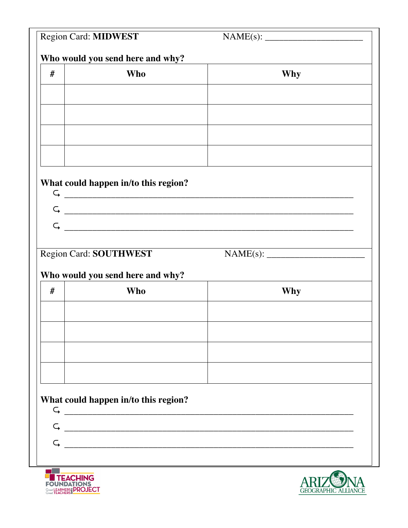| Region Card: MIDWEST |                                      |                |
|----------------------|--------------------------------------|----------------|
|                      | Who would you send here and why?     |                |
| #                    | <b>Who</b>                           | Why            |
|                      |                                      |                |
|                      |                                      |                |
|                      |                                      |                |
|                      |                                      |                |
|                      |                                      |                |
|                      |                                      |                |
|                      | What could happen in/to this region? | $G \fbox{---}$ |
|                      |                                      | $G \sim$       |
| $\subset$            |                                      |                |
|                      |                                      |                |
|                      | Region Card: SOUTHWEST               |                |
|                      | Who would you send here and why?     |                |
| #                    | <b>Who</b>                           | Why            |
|                      |                                      |                |
|                      |                                      |                |
|                      |                                      |                |
|                      |                                      |                |
|                      |                                      |                |
|                      | What could happen in/to this region? |                |
| $\subset$            |                                      |                |
|                      |                                      |                |
|                      |                                      |                |
|                      |                                      |                |
|                      |                                      | $\sqrt{2}$     |



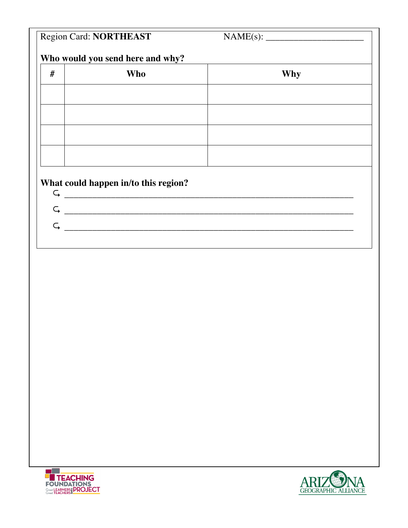|                                      | <b>Region Card: NORTHEAST</b> |     |  |
|--------------------------------------|-------------------------------|-----|--|
| Who would you send here and why?     |                               |     |  |
| #                                    | Who                           | Why |  |
|                                      |                               |     |  |
|                                      |                               |     |  |
|                                      |                               |     |  |
|                                      |                               |     |  |
|                                      |                               |     |  |
| What could happen in/to this region? |                               |     |  |
| $\subset$                            |                               |     |  |
| $\subset$                            |                               |     |  |
|                                      |                               |     |  |
|                                      |                               |     |  |



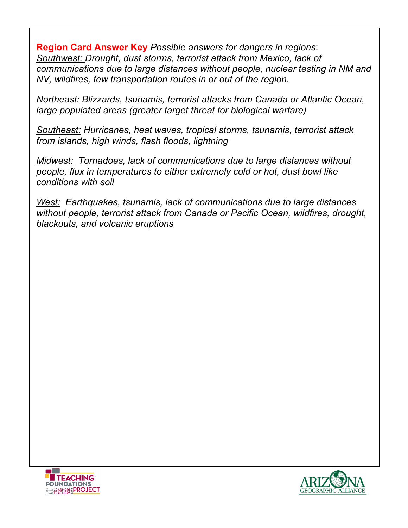**Region Card Answer Key** *Possible answers for dangers in regions*: *Southwest: Drought, dust storms, terrorist attack from Mexico, lack of communications due to large distances without people, nuclear testing in NM and NV, wildfires, few transportation routes in or out of the region.* 

*Northeast: Blizzards, tsunamis, terrorist attacks from Canada or Atlantic Ocean, large populated areas (greater target threat for biological warfare)* 

*Southeast: Hurricanes, heat waves, tropical storms, tsunamis, terrorist attack from islands, high winds, flash floods, lightning*

*Midwest: Tornadoes, lack of communications due to large distances without people, flux in temperatures to either extremely cold or hot, dust bowl like conditions with soil*

*West: Earthquakes, tsunamis, lack of communications due to large distances without people, terrorist attack from Canada or Pacific Ocean, wildfires, drought, blackouts, and volcanic eruptions*